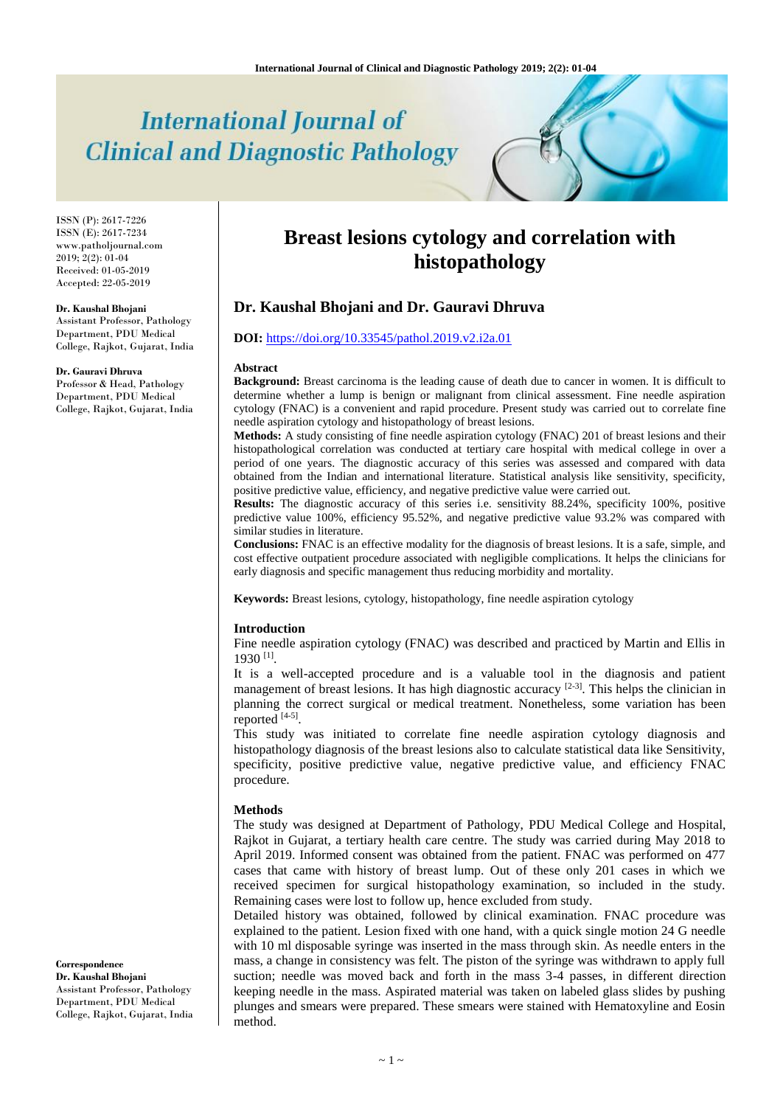# **International Journal of Clinical and Diagnostic Pathology**

ISSN (P): 2617-7226 ISSN (E): 2617-7234 www.patholjournal.com 2019; 2(2): 01-04 Received: 01-05-2019 Accepted: 22-05-2019

#### **Dr. Kaushal Bhojani**

Assistant Professor, Pathology Department, PDU Medical College, Rajkot, Gujarat, India

#### **Dr. Gauravi Dhruva**

Professor & Head, Pathology Department, PDU Medical College, Rajkot, Gujarat, India

# **Breast lesions cytology and correlation with histopathology**

# **Dr. Kaushal Bhojani and Dr. Gauravi Dhruva**

# **DOI:** <https://doi.org/10.33545/pathol.2019.v2.i2a.01>

#### **Abstract**

**Background:** Breast carcinoma is the leading cause of death due to cancer in women. It is difficult to determine whether a lump is benign or malignant from clinical assessment. Fine needle aspiration cytology (FNAC) is a convenient and rapid procedure. Present study was carried out to correlate fine needle aspiration cytology and histopathology of breast lesions.

**Methods:** A study consisting of fine needle aspiration cytology (FNAC) 201 of breast lesions and their histopathological correlation was conducted at tertiary care hospital with medical college in over a period of one years. The diagnostic accuracy of this series was assessed and compared with data obtained from the Indian and international literature. Statistical analysis like sensitivity, specificity, positive predictive value, efficiency, and negative predictive value were carried out.

**Results:** The diagnostic accuracy of this series i.e. sensitivity 88.24%, specificity 100%, positive predictive value 100%, efficiency 95.52%, and negative predictive value 93.2% was compared with similar studies in literature.

**Conclusions:** FNAC is an effective modality for the diagnosis of breast lesions. It is a safe, simple, and cost effective outpatient procedure associated with negligible complications. It helps the clinicians for early diagnosis and specific management thus reducing morbidity and mortality.

**Keywords:** Breast lesions, cytology, histopathology, fine needle aspiration cytology

#### **Introduction**

Fine needle aspiration cytology (FNAC) was described and practiced by Martin and Ellis in 1930 [1] .

It is a well-accepted procedure and is a valuable tool in the diagnosis and patient management of breast lesions. It has high diagnostic accuracy  $[2-3]$ . This helps the clinician in planning the correct surgical or medical treatment. Nonetheless, some variation has been reported [4-5].

This study was initiated to correlate fine needle aspiration cytology diagnosis and histopathology diagnosis of the breast lesions also to calculate statistical data like Sensitivity, specificity, positive predictive value, negative predictive value, and efficiency FNAC procedure.

#### **Methods**

The study was designed at Department of Pathology, PDU Medical College and Hospital, Rajkot in Gujarat, a tertiary health care centre. The study was carried during May 2018 to April 2019. Informed consent was obtained from the patient. FNAC was performed on 477 cases that came with history of breast lump. Out of these only 201 cases in which we received specimen for surgical histopathology examination, so included in the study. Remaining cases were lost to follow up, hence excluded from study.

Detailed history was obtained, followed by clinical examination. FNAC procedure was explained to the patient. Lesion fixed with one hand, with a quick single motion 24 G needle with 10 ml disposable syringe was inserted in the mass through skin. As needle enters in the mass, a change in consistency was felt. The piston of the syringe was withdrawn to apply full suction; needle was moved back and forth in the mass 3-4 passes, in different direction keeping needle in the mass. Aspirated material was taken on labeled glass slides by pushing plunges and smears were prepared. These smears were stained with Hematoxyline and Eosin method.

**Correspondence Dr. Kaushal Bhojani** Assistant Professor, Pathology Department, PDU Medical College, Rajkot, Gujarat, India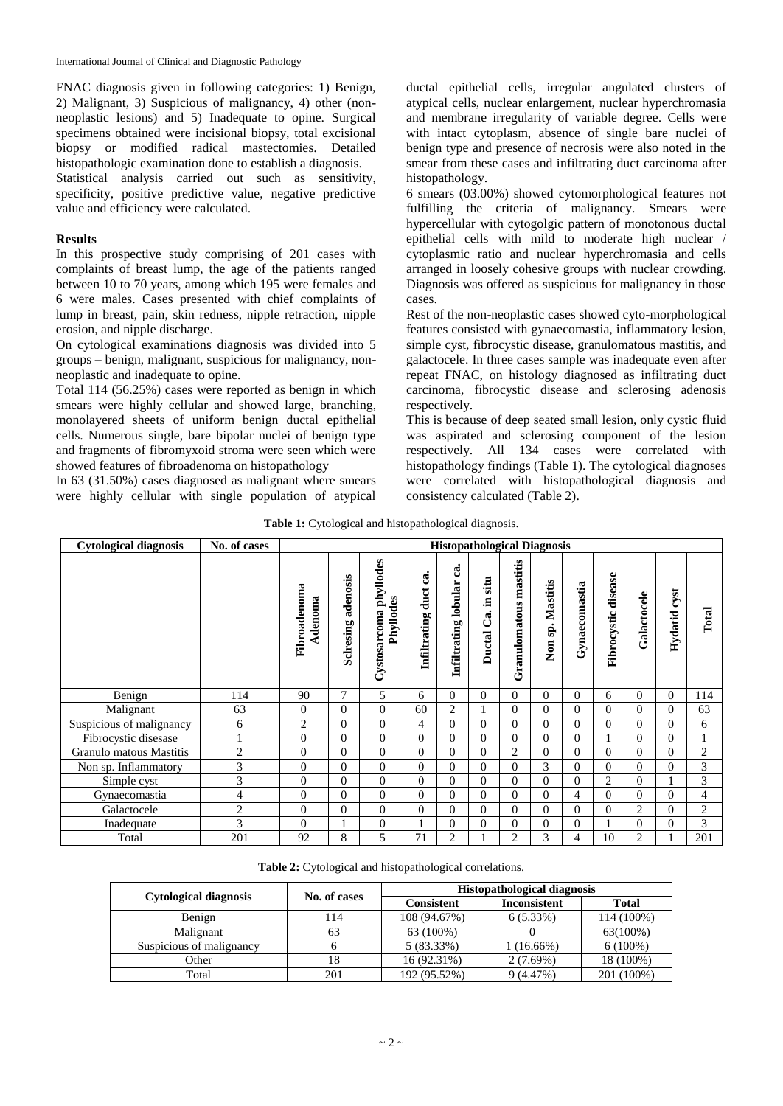International Journal of Clinical and Diagnostic Pathology

FNAC diagnosis given in following categories: 1) Benign, 2) Malignant, 3) Suspicious of malignancy, 4) other (nonneoplastic lesions) and 5) Inadequate to opine. Surgical specimens obtained were incisional biopsy, total excisional biopsy or modified radical mastectomies. Detailed histopathologic examination done to establish a diagnosis.

Statistical analysis carried out such as sensitivity, specificity, positive predictive value, negative predictive value and efficiency were calculated.

### **Results**

In this prospective study comprising of 201 cases with complaints of breast lump, the age of the patients ranged between 10 to 70 years, among which 195 were females and 6 were males. Cases presented with chief complaints of lump in breast, pain, skin redness, nipple retraction, nipple erosion, and nipple discharge.

On cytological examinations diagnosis was divided into 5 groups – benign, malignant, suspicious for malignancy, nonneoplastic and inadequate to opine.

Total 114 (56.25%) cases were reported as benign in which smears were highly cellular and showed large, branching, monolayered sheets of uniform benign ductal epithelial cells. Numerous single, bare bipolar nuclei of benign type and fragments of fibromyxoid stroma were seen which were showed features of fibroadenoma on histopathology

In 63 (31.50%) cases diagnosed as malignant where smears were highly cellular with single population of atypical ductal epithelial cells, irregular angulated clusters of atypical cells, nuclear enlargement, nuclear hyperchromasia and membrane irregularity of variable degree. Cells were with intact cytoplasm, absence of single bare nuclei of benign type and presence of necrosis were also noted in the smear from these cases and infiltrating duct carcinoma after histopathology.

6 smears (03.00%) showed cytomorphological features not fulfilling the criteria of malignancy. Smears were hypercellular with cytogolgic pattern of monotonous ductal epithelial cells with mild to moderate high nuclear / cytoplasmic ratio and nuclear hyperchromasia and cells arranged in loosely cohesive groups with nuclear crowding. Diagnosis was offered as suspicious for malignancy in those cases.

Rest of the non-neoplastic cases showed cyto-morphological features consisted with gynaecomastia, inflammatory lesion, simple cyst, fibrocystic disease, granulomatous mastitis, and galactocele. In three cases sample was inadequate even after repeat FNAC, on histology diagnosed as infiltrating duct carcinoma, fibrocystic disease and sclerosing adenosis respectively.

This is because of deep seated small lesion, only cystic fluid was aspirated and sclerosing component of the lesion respectively. All 134 cases were correlated with histopathology findings (Table 1). The cytological diagnoses were correlated with histopathological diagnosis and consistency calculated (Table 2).

|  | <b>Table 1:</b> Cytological and histopathological diagnosis. |  |
|--|--------------------------------------------------------------|--|
|  |                                                              |  |

| <b>Cytological diagnosis</b> | No. of cases   | <b>Histopathological Diagnosis</b> |                       |                                     |                                  |                               |                                   |                        |                        |                  |                     |                |                 |                |
|------------------------------|----------------|------------------------------------|-----------------------|-------------------------------------|----------------------------------|-------------------------------|-----------------------------------|------------------------|------------------------|------------------|---------------------|----------------|-----------------|----------------|
|                              |                | Fibroadenoma<br>Adenoma            | adenosis<br>Sclresing | Cystosarcoma phyllodes<br>Phyllodes | ී<br>duct<br><b>Infiltrating</b> | g.<br>lobular<br>Infiltrating | situ<br>.트<br>්.<br><b>Ductal</b> | Granulomatous mastitis | Mastitis<br>sp.<br>Non | Gynaecomastia    | Fibrocystic disease | Galactocele    | cyst<br>Hydatid | Total          |
| Benign                       | 114            | 90                                 | $\tau$                | 5                                   | 6                                | $\boldsymbol{0}$              | $\overline{0}$                    | $\overline{0}$         | $\overline{0}$         | $\mathbf{0}$     | 6                   | $\Omega$       | $\overline{0}$  | 114            |
| Malignant                    | 63             | $\mathbf{0}$                       | $\overline{0}$        | $\theta$                            | 60                               | $\overline{c}$                |                                   | $\Omega$               | $\Omega$               | $\theta$         | $\Omega$            | $\Omega$       | $\Omega$        | 63             |
| Suspicious of malignancy     | 6              | $\overline{2}$                     | $\Omega$              | $\theta$                            | 4                                | $\mathbf{0}$                  | $\Omega$                          | $\Omega$               | $\Omega$               | $\theta$         | $\Omega$            | $\Omega$       | $\Omega$        | 6              |
| Fibrocystic disesase         | 1              | $\overline{0}$                     | $\overline{0}$        | $\boldsymbol{0}$                    | $\mathbf{0}$                     | $\mathbf{0}$                  | $\Omega$                          | $\Omega$               | $\mathbf{0}$           | $\boldsymbol{0}$ |                     | $\Omega$       | $\Omega$        |                |
| Granulo matous Mastitis      | $\overline{c}$ | $\overline{0}$                     | $\Omega$              | $\theta$                            | $\overline{0}$                   | $\mathbf{0}$                  | $\Omega$                          | $\overline{c}$         | $\Omega$               | $\theta$         | $\Omega$            | $\Omega$       | $\Omega$        | $\overline{2}$ |
| Non sp. Inflammatory         | 3              | $\mathbf{0}$                       | $\Omega$              | $\theta$                            | $\overline{0}$                   | $\overline{0}$                | $\Omega$                          | $\Omega$               | 3                      | $\theta$         | $\Omega$            | $\Omega$       | $\Omega$        | 3              |
| Simple cyst                  | 3              | $\mathbf{0}$                       | $\Omega$              | $\theta$                            | $\overline{0}$                   | $\mathbf{0}$                  | $\Omega$                          | $\Omega$               | $\Omega$               | $\theta$         | $\overline{2}$      | $\Omega$       |                 | 3              |
| Gynaecomastia                | 4              | $\theta$                           | $\Omega$              | $\boldsymbol{0}$                    | $\theta$                         | $\mathbf{0}$                  | $\Omega$                          | $\Omega$               | $\Omega$               | 4                | $\Omega$            | $\Omega$       | $\Omega$        | $\overline{4}$ |
| Galactocele                  | $\overline{2}$ | $\Omega$                           | $\Omega$              | $\theta$                            | $\overline{0}$                   | $\mathbf{0}$                  | $\Omega$                          | $\Omega$               | $\Omega$               | $\theta$         | $\Omega$            | $\overline{2}$ | $\Omega$        | $\overline{2}$ |
| Inadequate                   | 3              | $\mathbf{0}$                       | 1                     | $\boldsymbol{0}$                    |                                  | $\mathbf{0}$                  | $\Omega$                          | $\Omega$               | $\Omega$               | $\theta$         |                     | $\Omega$       | $\Omega$        | 3              |
| Total                        | 201            | 92                                 | 8                     | 5                                   | 71                               | $\overline{c}$                |                                   | $\overline{c}$         | 3                      | 4                | 10                  | $\overline{2}$ |                 | 201            |

|  |  | Table 2: Cytological and histopathological correlations. |
|--|--|----------------------------------------------------------|
|  |  |                                                          |

|                              |              | <b>Histopathological diagnosis</b> |                     |              |  |  |  |
|------------------------------|--------------|------------------------------------|---------------------|--------------|--|--|--|
| <b>Cytological diagnosis</b> | No. of cases | <b>Consistent</b>                  | <b>Inconsistent</b> | <b>Total</b> |  |  |  |
| Benign                       | 114          | 108 (94.67%)                       | $6(5.33\%)$         | 114 (100%)   |  |  |  |
| Malignant                    | 63           | 63 (100%)                          |                     | 63(100%)     |  |  |  |
| Suspicious of malignancy     |              | $5(83.33\%)$                       | $(16.66\%)$         | $6(100\%)$   |  |  |  |
| Other                        | 18           | 16 (92.31%)                        | 2(7.69%)            | 18 (100%)    |  |  |  |
| Total                        | 201          | 192 (95.52%)                       | 9(4.47%)            | 201 (100%)   |  |  |  |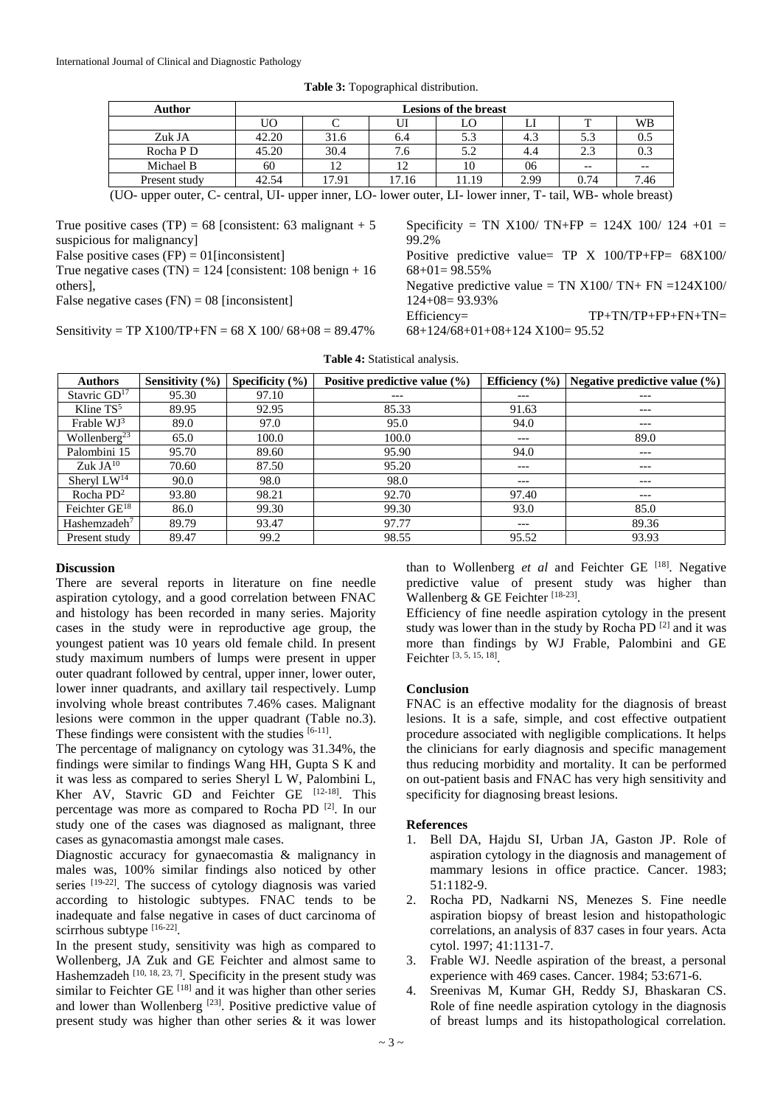| Author        | <b>Lesions of the breast</b> |       |       |       |      |       |      |  |
|---------------|------------------------------|-------|-------|-------|------|-------|------|--|
|               | UΟ                           |       | UI    | LO    | ப    |       | WB   |  |
| Zuk JA        | 42.20                        | 31.6  | 6.4   | 5.3   | 4.3  | 5.3   | U.J  |  |
| Rocha P D     | 45.20                        | 30.4  | 7.6   | 5.2   | 4.4  | 2.3   | 0.3  |  |
| Michael B     | 60                           | 12    |       | 10    | 06   | $- -$ |      |  |
| Present study | 42.54                        | 17.91 | 17.16 | 11.19 | 2.99 | 0.74  | 7.46 |  |

**Table 3:** Topographical distribution.

(UO- upper outer, C- central, UI- upper inner, LO- lower outer, LI- lower inner, T- tail, WB- whole breast)

True positive cases (TP) = 68 [consistent: 63 malignant + 5 suspicious for malignancy

False positive cases  $(FP) = 01$ [inconsistent]

True negative cases  $(TN) = 124$  [consistent: 108 benign + 16 others],

False negative cases  $(FN) = 08$  [inconsistent]

Sensitivity = TP  $X100/TP+FN = 68 X 100/68+08 = 89.47%$ 

Specificity = TN X100/ TN+FP =  $124X 100/ 124 +01 =$ 99.2%

Positive predictive value= TP X 100/TP+FP= 68X100/  $68+01=98.55%$ 

Negative predictive value = TN  $X100/TN+FN = 124X100/T$ 124+08= 93.93%

Efficiency=  $TP+TNTP+FP+FN+TN=$ 

68+124/68+01+08+124 X100= 95.52

| <b>Authors</b>            | Sensitivity $(\% )$ | Specificity $(\% )$ | Positive predictive value $(\% )$ | Efficiency $(\% )$ | Negative predictive value $(\% )$ |
|---------------------------|---------------------|---------------------|-----------------------------------|--------------------|-----------------------------------|
| Stavric $GD17$            | 95.30               | 97.10               | ---                               | ---                | $---$                             |
| Kline $TS^5$              | 89.95               | 92.95               | 85.33                             | 91.63              | $---$                             |
| Frable $WJ^3$             | 89.0                | 97.0                | 95.0                              | 94.0               | $---$                             |
| Wollenberg <sup>23</sup>  | 65.0                | 100.0               | 100.0                             | ---                | 89.0                              |
| Palombini 15              | 95.70               | 89.60               | 95.90                             | 94.0               | $---$                             |
| Zuk J $A^{10}$            | 70.60               | 87.50               | 95.20                             | ---                | $---$                             |
| Sheryl $LW^{14}$          | 90.0                | 98.0                | 98.0                              | ---                | $---$                             |
| Rocha $PD^2$              | 93.80               | 98.21               | 92.70                             | 97.40              | $---$                             |
| Feichter GE <sup>18</sup> | 86.0                | 99.30               | 99.30                             | 93.0               | 85.0                              |
| Hashemzadeh <sup>7</sup>  | 89.79               | 93.47               | 97.77                             | $---$              | 89.36                             |
| Present study             | 89.47               | 99.2                | 98.55                             | 95.52              | 93.93                             |

**Table 4:** Statistical analysis.

## **Discussion**

There are several reports in literature on fine needle aspiration cytology, and a good correlation between FNAC and histology has been recorded in many series. Majority cases in the study were in reproductive age group, the youngest patient was 10 years old female child. In present study maximum numbers of lumps were present in upper outer quadrant followed by central, upper inner, lower outer, lower inner quadrants, and axillary tail respectively. Lump involving whole breast contributes 7.46% cases. Malignant lesions were common in the upper quadrant (Table no.3). These findings were consistent with the studies  $[6-11]$ .

The percentage of malignancy on cytology was 31.34%, the findings were similar to findings Wang HH, Gupta S K and it was less as compared to series Sheryl L W, Palombini L, Kher AV, Stavric GD and Feichter GE [12-18]. This percentage was more as compared to Rocha PD<sup>[2]</sup>. In our study one of the cases was diagnosed as malignant, three cases as gynacomastia amongst male cases.

Diagnostic accuracy for gynaecomastia & malignancy in males was, 100% similar findings also noticed by other series <sup>[19-22]</sup>. The success of cytology diagnosis was varied according to histologic subtypes. FNAC tends to be inadequate and false negative in cases of duct carcinoma of scirrhous subtype [16-22].

In the present study, sensitivity was high as compared to Wollenberg, JA Zuk and GE Feichter and almost same to Hashemzadeh  $[10, 18, 23, 7]$ . Specificity in the present study was similar to Feichter GE  $^{[18]}$  and it was higher than other series and lower than Wollenberg<sup>[23]</sup>. Positive predictive value of present study was higher than other series & it was lower than to Wollenberg *et al* and Feichter GE <sup>[18]</sup>. Negative predictive value of present study was higher than Wallenberg & GE Feichter [18-23].

Efficiency of fine needle aspiration cytology in the present study was lower than in the study by Rocha PD $[2]$  and it was more than findings by WJ Frable, Palombini and GE Feichter [3, 5, 15, 18].

#### **Conclusion**

FNAC is an effective modality for the diagnosis of breast lesions. It is a safe, simple, and cost effective outpatient procedure associated with negligible complications. It helps the clinicians for early diagnosis and specific management thus reducing morbidity and mortality. It can be performed on out-patient basis and FNAC has very high sensitivity and specificity for diagnosing breast lesions.

#### **References**

- 1. Bell DA, Hajdu SI, Urban JA, Gaston JP. Role of aspiration cytology in the diagnosis and management of mammary lesions in office practice. Cancer. 1983; 51:1182-9.
- 2. Rocha PD, Nadkarni NS, Menezes S. Fine needle aspiration biopsy of breast lesion and histopathologic correlations, an analysis of 837 cases in four years. Acta cytol. 1997; 41:1131-7.
- 3. Frable WJ. Needle aspiration of the breast, a personal experience with 469 cases. Cancer. 1984; 53:671-6.
- 4. Sreenivas M, Kumar GH, Reddy SJ, Bhaskaran CS. Role of fine needle aspiration cytology in the diagnosis of breast lumps and its histopathological correlation.